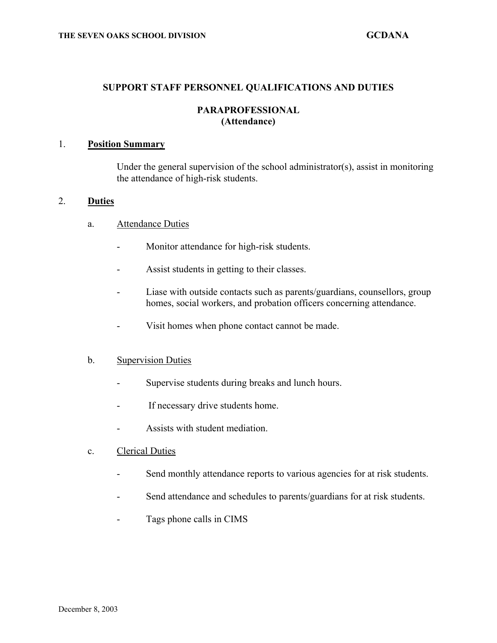#### **SUPPORT STAFF PERSONNEL QUALIFICATIONS AND DUTIES**

### **PARAPROFESSIONAL (Attendance)**

### 1. **Position Summary**

Under the general supervision of the school administrator(s), assist in monitoring the attendance of high-risk students.

#### 2. **Duties**

- a. Attendance Duties
	- Monitor attendance for high-risk students.
	- Assist students in getting to their classes.
	- Liase with outside contacts such as parents/guardians, counsellors, group homes, social workers, and probation officers concerning attendance.
	- Visit homes when phone contact cannot be made.

### b. Supervision Duties

- Supervise students during breaks and lunch hours.
- If necessary drive students home.
- Assists with student mediation.
- c. Clerical Duties
	- Send monthly attendance reports to various agencies for at risk students.
	- Send attendance and schedules to parents/guardians for at risk students.
	- Tags phone calls in CIMS